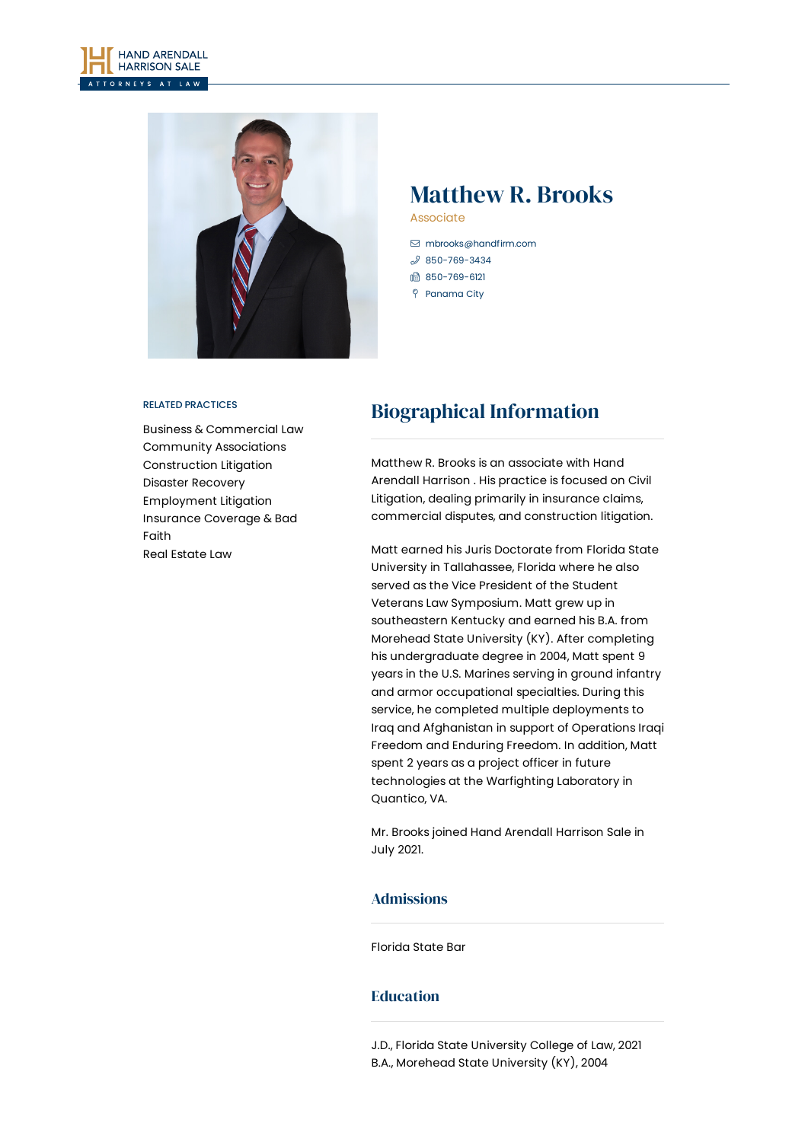



# Matthew R. Brooks

Associate

- [mbrooks@handfirm.com](mailto:mbrooks@handfirm.com)
- $$850 769 3434$
- 1 850-769-6121
- Panama City

#### RELATED PRACTICES

Business & [Commercial](https://www.handfirm.com/practices/business-services/business-commercial-law/) Law Community [Associations](https://www.handfirm.com/practices/industries/community-associations/) [Construction](https://www.handfirm.com/practices/litigation/construction-litigation/) Litigation Disaster [Recovery](https://www.handfirm.com/practices/business-services/disaster-recovery/) [Employment](https://www.handfirm.com/practices/litigation/employment-litigation/) Litigation [Insurance](https://www.handfirm.com/practices/litigation/insurance-coverage-bad-faith/) Coverage & Bad Faith Real [Estate](https://www.handfirm.com/practices/business-services/real-estate-law/) Law

# Biographical Information

Matthew R.Brooks is an associate with Hand Arendall Harrison . His practice is focused on Civil Litigation, dealing primarily in insurance claims, commercial disputes, and construction litigation.

Matt earned his Juris Doctorate from Florida State University in Tallahassee, Florida where he also served as the Vice President of the Student Veterans Law Symposium. Matt grew up in southeastern Kentucky and earned his B.A. from Morehead State University (KY). After completing his undergraduate degree in 2004, Matt spent 9 years in the U.S. Marines serving in ground infantry and armor occupational specialties. During this service, he completed multiple deployments to Iraq and Afghanistan in support of Operations Iraqi Freedom and Enduring Freedom. In addition, Matt spent 2 years as a project officer in future technologies at the Warfighting Laboratory in Quantico, VA.

Mr. Brooks joined Hand Arendall Harrison Sale in July 2021.

### Admissions

Florida State Bar

## Education

J.D., Florida State University College of Law, 2021 B.A., Morehead State University (KY), 2004